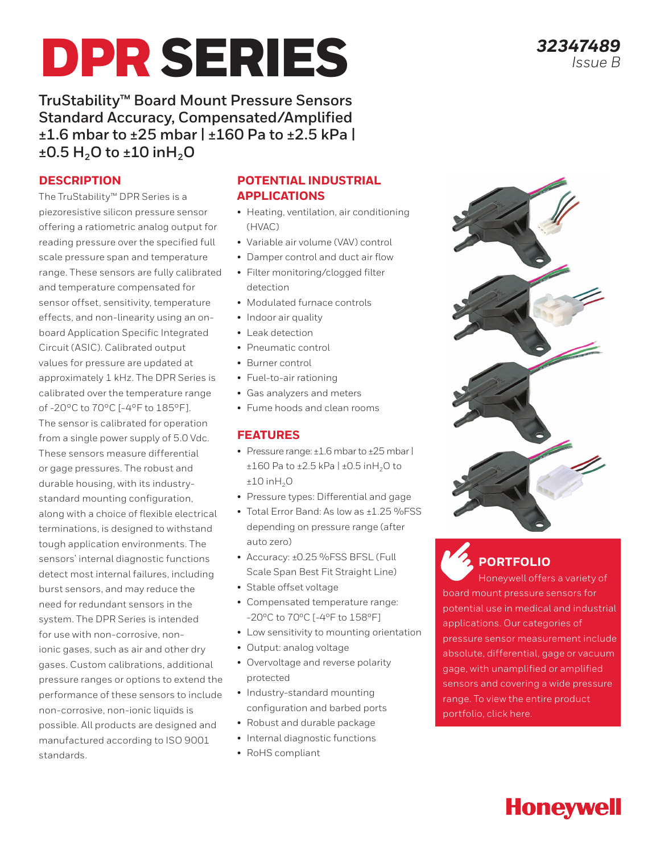# DPR SERIES

**TruStability™ Board Mount Pressure Sensors Standard Accuracy, Compensated/Amplified ±1.6 mbar to ±25 mbar | ±160 Pa to ±2.5 kPa | ±0.5 H<sub>2</sub>O to ±10 inH<sub>2</sub>O** 

## **DESCRIPTION**

The TruStability™ DPR Series is a piezoresistive silicon pressure sensor offering a ratiometric analog output for reading pressure over the specified full scale pressure span and temperature range. These sensors are fully calibrated and temperature compensated for sensor offset, sensitivity, temperature effects, and non-linearity using an onboard Application Specific Integrated Circuit (ASIC). Calibrated output values for pressure are updated at approximately 1 kHz. The DPR Series is calibrated over the temperature range of -20°C to 70°C [-4°F to 185°F]. The sensor is calibrated for operation from a single power supply of 5.0 Vdc. These sensors measure differential or gage pressures. The robust and durable housing, with its industrystandard mounting configuration, along with a choice of flexible electrical terminations, is designed to withstand tough application environments. The sensors' internal diagnostic functions detect most internal failures, including burst sensors, and may reduce the need for redundant sensors in the system. The DPR Series is intended for use with non-corrosive, nonionic gases, such as air and other dry gases. Custom calibrations, additional pressure ranges or options to extend the performance of these sensors to include non-corrosive, non-ionic liquids is possible. All products are designed and manufactured according to ISO 9001 standards.

#### **POTENTIAL INDUSTRIAL APPLICATIONS**

- Heating, ventilation, air conditioning (HVAC)
- Variable air volume (VAV) control
- Damper control and duct air flow
- Filter monitoring/clogged filter detection
- Modulated furnace controls
- Indoor air quality
- Leak detection
- Pneumatic control
- Burner control
- Fuel-to-air rationing
- Gas analyzers and meters
- Fume hoods and clean rooms

#### **FEATURES**

- Pressure range: ±1.6 mbar to ±25 mbar |  $\pm 160$  Pa to  $\pm 2.5$  kPa  $|\pm 0.5$  in H<sub>2</sub>O to  $±10$  in $H<sub>2</sub>O$
- Pressure types: Differential and gage
- Total Error Band: As low as ±1.25 %FSS depending on pressure range (after auto zero)
- Accuracy: ±0.25 %FSS BFSL (Full Scale Span Best Fit Straight Line)
- Stable offset voltage
- Compensated temperature range: -20ºC to 70ºC [-4ºF to 158ºF]
- Low sensitivity to mounting orientation
- Output: analog voltage
- Overvoltage and reverse polarity protected
- Industry-standard mounting configuration and barbed ports
- Robust and durable package
- Internal diagnostic functions
- RoHS compliant

*32347489*

*Issue B*



pressure sensor measurement include absolute, differential, gage or vacuum gage, with unamplified or amplified sensors and covering a wide pressure range. To view the entire product

portfolio, click here.

# **Honeywell**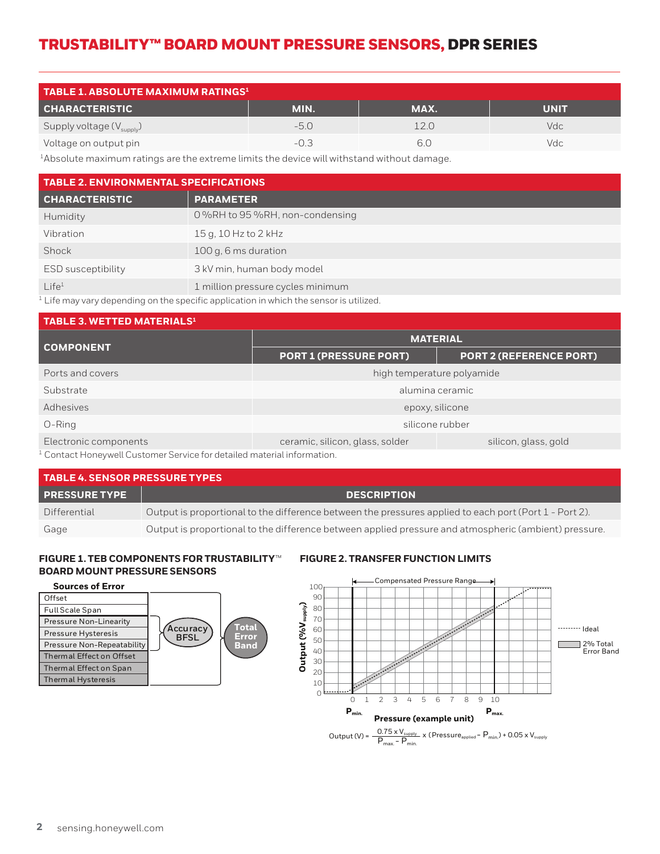| <b>TABLE 1. ABSOLUTE MAXIMUM RATINGS1</b> |        |      |             |  |  |  |  |
|-------------------------------------------|--------|------|-------------|--|--|--|--|
| <b>CHARACTERISTIC</b>                     | MIN.   | MAX. | <b>UNIT</b> |  |  |  |  |
| Supply voltage $(V_{\text{supply}})$      | -50    | 2 O  | Vdc.        |  |  |  |  |
| Voltage on output pin                     | $-0.3$ | 61   | Vdc.        |  |  |  |  |

1Absolute maximum ratings are the extreme limits the device will withstand without damage.

| <b>TABLE 2. ENVIRONMENTAL SPECIFICATIONS</b> |                                   |  |  |  |  |  |
|----------------------------------------------|-----------------------------------|--|--|--|--|--|
| <b>CHARACTERISTIC</b>                        | <b>PARAMETER</b>                  |  |  |  |  |  |
| Humidity                                     | 0 %RH to 95 %RH, non-condensing   |  |  |  |  |  |
| Vibration                                    | 15 g, 10 Hz to 2 kHz              |  |  |  |  |  |
| Shock                                        | 100 g, 6 ms duration              |  |  |  |  |  |
| ESD susceptibility                           | 3 kV min, human body model        |  |  |  |  |  |
| Life <sup>1</sup><br>$\cdots$                | 1 million pressure cycles minimum |  |  |  |  |  |

 $1$  Life may vary depending on the specific application in which the sensor is utilized.

| TABLE 3. WETTED MATERIALS <sup>1</sup>                                                                                                                                                                                            |                                 |                                |  |  |  |  |  |  |
|-----------------------------------------------------------------------------------------------------------------------------------------------------------------------------------------------------------------------------------|---------------------------------|--------------------------------|--|--|--|--|--|--|
| <b>COMPONENT</b>                                                                                                                                                                                                                  | <b>MATERIAL</b>                 |                                |  |  |  |  |  |  |
|                                                                                                                                                                                                                                   | <b>PORT 1 (PRESSURE PORT)</b>   | <b>PORT 2 (REFERENCE PORT)</b> |  |  |  |  |  |  |
| Ports and covers                                                                                                                                                                                                                  | high temperature polyamide      |                                |  |  |  |  |  |  |
| Substrate                                                                                                                                                                                                                         | alumina ceramic                 |                                |  |  |  |  |  |  |
| Adhesives                                                                                                                                                                                                                         | epoxy, silicone                 |                                |  |  |  |  |  |  |
| $O-Ring$                                                                                                                                                                                                                          | silicone rubber                 |                                |  |  |  |  |  |  |
| Electronic components                                                                                                                                                                                                             | ceramic, silicon, glass, solder | silicon, glass, gold           |  |  |  |  |  |  |
| $\alpha$ , it is not a solution of the state of the state of the state of the state of the state of the state of the state of the state of the state of the state of the state of the state of the state of the state of the stat |                                 |                                |  |  |  |  |  |  |

Contact Honeywell Customer Service for detailed material information.

| <b>TABLE 4. SENSOR PRESSURE TYPES</b> |                                                                                                        |  |  |  |  |
|---------------------------------------|--------------------------------------------------------------------------------------------------------|--|--|--|--|
| <b>PRESSURE TYPE</b>                  | <b>DESCRIPTION</b>                                                                                     |  |  |  |  |
| Differential                          | Output is proportional to the difference between the pressures applied to each port (Port 1 - Port 2). |  |  |  |  |
| Gage                                  | Output is proportional to the difference between applied pressure and atmospheric (ambient) pressure.  |  |  |  |  |

#### **FIGURE 1. TEB COMPONENTS FOR TRUSTABILITY**™ **BOARD MOUNT PRESSURE SENSORS**

#### **Sources of Error**



#### **FIGURE 2. TRANSFER FUNCTION LIMITS**

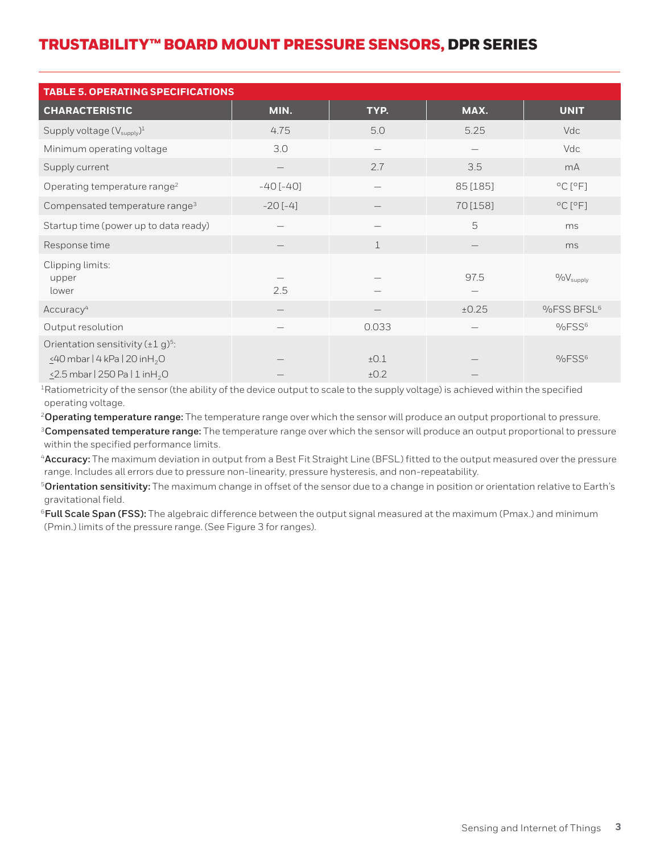| <b>TABLE 5. OPERATING SPECIFICATIONS</b>                                                                                                            |            |              |          |                             |  |  |  |  |
|-----------------------------------------------------------------------------------------------------------------------------------------------------|------------|--------------|----------|-----------------------------|--|--|--|--|
| <b>CHARACTERISTIC</b>                                                                                                                               | MIN.       | TYP.         | MAX.     | <b>UNIT</b>                 |  |  |  |  |
| Supply voltage (V <sub>supply</sub> ) <sup>1</sup>                                                                                                  | 4.75       | 5.0          | 5.25     | Vdc                         |  |  |  |  |
| Minimum operating voltage                                                                                                                           | 3.0        |              |          | Vdc                         |  |  |  |  |
| Supply current                                                                                                                                      |            | 2.7          | 3.5      | mA                          |  |  |  |  |
| Operating temperature range <sup>2</sup>                                                                                                            | $-40[-40]$ |              | 85 [185] | $^{\circ}$ C $[^{\circ}$ F] |  |  |  |  |
| Compensated temperature range <sup>3</sup>                                                                                                          | $-20[-4]$  |              | 70 [158] | $^{\circ}$ C $[^{\circ}$ F] |  |  |  |  |
| Startup time (power up to data ready)                                                                                                               |            |              | 5        | ms                          |  |  |  |  |
| Response time                                                                                                                                       |            | $\perp$      |          | ms                          |  |  |  |  |
| Clipping limits:<br>upper<br>lower                                                                                                                  | 2.5        |              | 97.5     | $0/6V_{\text{supply}}$      |  |  |  |  |
| Accuracy <sup>4</sup>                                                                                                                               |            |              | ±0.25    | %FSS BFSL <sup>6</sup>      |  |  |  |  |
| Output resolution                                                                                                                                   |            | 0.033        |          | %FSS <sup>6</sup>           |  |  |  |  |
| Orientation sensitivity (±1 g) <sup>5</sup> :<br>$\leq$ 40 mbar   4 kPa   20 inH <sub>2</sub> O<br>$\leq$ 2.5 mbar   250 Pa   1 in H <sub>2</sub> O |            | ±0.1<br>±0.2 |          | %FSS <sup>6</sup>           |  |  |  |  |

1Ratiometricity of the sensor (the ability of the device output to scale to the supply voltage) is achieved within the specified operating voltage.

<sup>2</sup>**Operating temperature range:** The temperature range over which the sensor will produce an output proportional to pressure.

<sup>3</sup>**Compensated temperature range:** The temperature range over which the sensor will produce an output proportional to pressure within the specified performance limits.

<sup>4</sup>**Accuracy:** The maximum deviation in output from a Best Fit Straight Line (BFSL) fitted to the output measured over the pressure range. Includes all errors due to pressure non-linearity, pressure hysteresis, and non-repeatability.

<sup>5</sup>**Orientation sensitivity:** The maximum change in offset of the sensor due to a change in position or orientation relative to Earth's gravitational field.

<sup>6</sup> Full Scale Span (FSS): The algebraic difference between the output signal measured at the maximum (Pmax.) and minimum (Pmin.) limits of the pressure range. (See Figure 3 for ranges).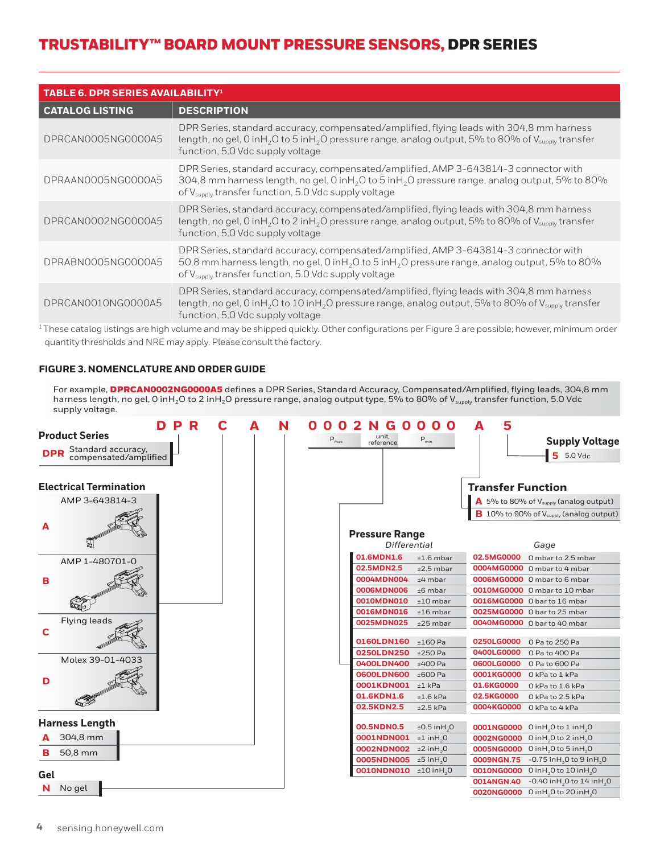| <b>TABLE 6. DPR SERIES AVAILABILITY!</b> |                                                                                                                                                                                                                                                                                   |  |  |  |  |  |
|------------------------------------------|-----------------------------------------------------------------------------------------------------------------------------------------------------------------------------------------------------------------------------------------------------------------------------------|--|--|--|--|--|
| <b>CATALOG LISTING</b>                   | <b>DESCRIPTION</b>                                                                                                                                                                                                                                                                |  |  |  |  |  |
| DPRCAN0005NG0000A5                       | DPR Series, standard accuracy, compensated/amplified, flying leads with 304,8 mm harness<br>length, no gel, 0 inH <sub>2</sub> O to 5 inH <sub>2</sub> O pressure range, analog output, 5% to 80% of V <sub>supply</sub> transfer<br>function, 5.0 Vdc supply voltage             |  |  |  |  |  |
| DPRAAN0005NG0000A5                       | DPR Series, standard accuracy, compensated/amplified, AMP 3-643814-3 connector with<br>304,8 mm harness length, no gel, 0 inH <sub>2</sub> O to 5 inH <sub>2</sub> O pressure range, analog output, 5% to 80%<br>of V <sub>supply</sub> transfer function, 5.0 Vdc supply voltage |  |  |  |  |  |
| DPRCAN0002NG0000A5                       | DPR Series, standard accuracy, compensated/amplified, flying leads with 304,8 mm harness<br>length, no gel, 0 inH <sub>2</sub> O to 2 inH <sub>2</sub> O pressure range, analog output, 5% to 80% of V <sub>supply</sub> transfer<br>function, 5.0 Vdc supply voltage             |  |  |  |  |  |
| DPRABN0005NG0000A5                       | DPR Series, standard accuracy, compensated/amplified, AMP 3-643814-3 connector with<br>50,8 mm harness length, no gel, 0 inH <sub>2</sub> O to 5 inH <sub>2</sub> O pressure range, analog output, 5% to 80%<br>of V <sub>supply</sub> transfer function, 5.0 Vdc supply voltage  |  |  |  |  |  |
| DPRCANO010NG0000A5                       | DPR Series, standard accuracy, compensated/amplified, flying leads with 304,8 mm harness<br>length, no gel, 0 inH <sub>2</sub> O to 10 inH <sub>2</sub> O pressure range, analog output, 5% to 80% of $V_{\text{subolv}}$ transfer<br>function, 5.0 Vdc supply voltage            |  |  |  |  |  |

<sup>1</sup>These catalog listings are high volume and may be shipped quickly. Other configurations per Figure 3 are possible; however, minimum order quantity thresholds and NRE may apply. Please consult the factory.

#### **FIGURE 3. NOMENCLATURE AND ORDER GUIDE**

For example, DPRCAN0002NG0000A5 defines a DPR Series, Standard Accuracy, Compensated/Amplified, flying leads, 304,8 mm harness length, no gel, 0 inH<sub>2</sub>O to 2 inH<sub>2</sub>O pressure range, analog output type, 5% to 80% of V<sub>supply</sub> transfer function, 5.0 Vdc supply voltage.

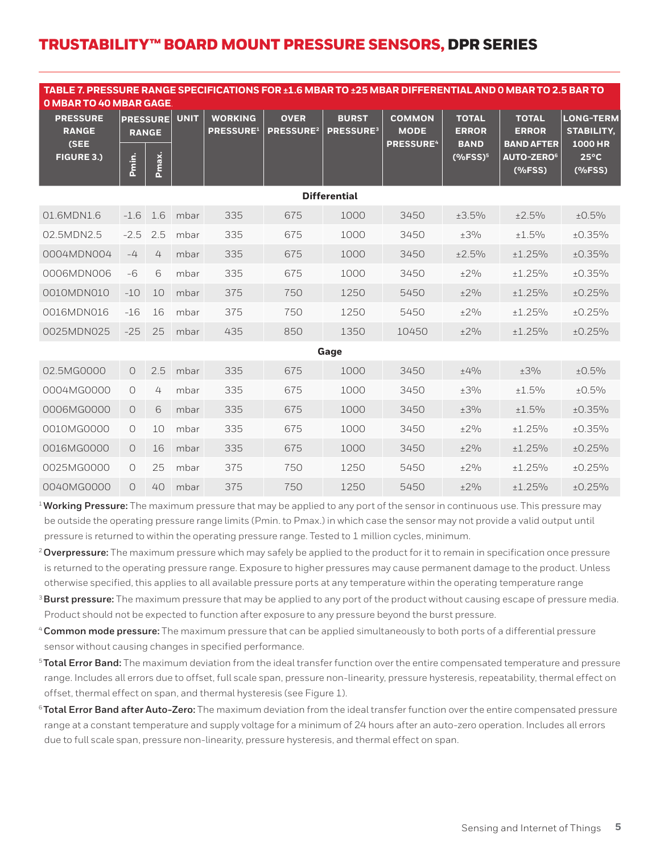| TABLE 7. PRESSURE RANGE SPECIFICATIONS FOR ±1.6 MBAR TO ±25 MBAR DIFFERENTIAL AND 0 MBAR TO 2.5 BAR TO<br><b>O MBAR TO 40 MBAR GAGE.</b> |          |                                          |             |                                                |                                            |                                  |                                                             |                                                                                   |                                                                                                     |                                                                                            |
|------------------------------------------------------------------------------------------------------------------------------------------|----------|------------------------------------------|-------------|------------------------------------------------|--------------------------------------------|----------------------------------|-------------------------------------------------------------|-----------------------------------------------------------------------------------|-----------------------------------------------------------------------------------------------------|--------------------------------------------------------------------------------------------|
| <b>PRESSURE</b><br><b>RANGE</b><br>(SEE<br><b>FIGURE 3.)</b>                                                                             | Pmin.    | <b>PRESSURE</b><br><b>RANGE</b><br>Pmax. | <b>UNIT</b> | <b>WORKING</b><br><b>PRESSURE</b> <sup>1</sup> | <b>OVER</b><br><b>PRESSURE<sup>2</sup></b> | <b>BURST</b><br><b>PRESSURE3</b> | <b>COMMON</b><br><b>MODE</b><br><b>PRESSURE<sup>4</sup></b> | <b>TOTAL</b><br><b>ERROR</b><br><b>BAND</b><br>$(% ^{\ast }%$ (%FSS) <sup>5</sup> | <b>TOTAL</b><br><b>ERROR</b><br><b>BAND AFTER</b><br><b>AUTO-ZERO</b> <sup>6</sup><br>$(%$ $(*FSS)$ | <b>LONG-TERM</b><br><b>STABILITY.</b><br><b>1000 HR</b><br>$25^{\circ}$ C<br>$(%$ $(*FSS)$ |
| <b>Differential</b>                                                                                                                      |          |                                          |             |                                                |                                            |                                  |                                                             |                                                                                   |                                                                                                     |                                                                                            |
| 01.6MDN1.6                                                                                                                               | $-1.6$   | 1.6                                      | mbar        | 335                                            | 675                                        | 1000                             | 3450                                                        | ±3.5%                                                                             | ±2.5%                                                                                               | ±0.5%                                                                                      |
| 02.5MDN2.5                                                                                                                               | $-2.5$   | 2.5                                      | mbar        | 335                                            | 675                                        | 1000                             | 3450                                                        | ±3%                                                                               | ±1.5%                                                                                               | ±0.35%                                                                                     |
| 0004MDN004                                                                                                                               | $-4$     | 4                                        | mbar        | 335                                            | 675                                        | 1000                             | 3450                                                        | ±2.5%                                                                             | ±1.25%                                                                                              | ±0.35%                                                                                     |
| 0006MDN006                                                                                                                               | $-6$     | 6                                        | mbar        | 335                                            | 675                                        | 1000                             | 3450                                                        | $\pm 2\%$                                                                         | ±1.25%                                                                                              | ±0.35%                                                                                     |
| 0010MDN010                                                                                                                               | $-10$    | 10                                       | mbar        | 375                                            | 750                                        | 1250                             | 5450                                                        | ±2%                                                                               | ±1.25%                                                                                              | ±0.25%                                                                                     |
| 0016MDN016                                                                                                                               | $-16$    | 16                                       | mbar        | 375                                            | 750                                        | 1250                             | 5450                                                        | $\pm 2\%$                                                                         | ±1.25%                                                                                              | ±0.25%                                                                                     |
| 0025MDN025                                                                                                                               | $-25$    | 25                                       | mbar        | 435                                            | 850                                        | 1350                             | 10450                                                       | ±2%                                                                               | ±1.25%                                                                                              | ±0.25%                                                                                     |
|                                                                                                                                          |          |                                          |             |                                                |                                            | Gage                             |                                                             |                                                                                   |                                                                                                     |                                                                                            |
| 02.5MG0000                                                                                                                               | $\Omega$ | 2.5                                      | mbar        | 335                                            | 675                                        | 1000                             | 3450                                                        | $+4%$                                                                             | $\pm 3\%$                                                                                           | ±0.5%                                                                                      |
| 0004MG0000                                                                                                                               | $\circ$  | 4                                        | mbar        | 335                                            | 675                                        | 1000                             | 3450                                                        | $\pm 3\%$                                                                         | ±1.5%                                                                                               | ±0.5%                                                                                      |
| 0006MG0000                                                                                                                               | $\Omega$ | 6                                        | mbar        | 335                                            | 675                                        | 1000                             | 3450                                                        | $\pm 3\%$                                                                         | ±1.5%                                                                                               | ±0.35%                                                                                     |
| 0010MG0000                                                                                                                               | $\circ$  | 10                                       | mbar        | 335                                            | 675                                        | 1000                             | 3450                                                        | $\pm 2\%$                                                                         | ±1.25%                                                                                              | ±0.35%                                                                                     |
| 0016MG0000                                                                                                                               | $\Omega$ | 16                                       | mbar        | 335                                            | 675                                        | 1000                             | 3450                                                        | $+2%$                                                                             | $+1.25%$                                                                                            | ±0.25%                                                                                     |
| 0025MG0000                                                                                                                               | $\circ$  | 25                                       | mbar        | 375                                            | 750                                        | 1250                             | 5450                                                        | $\pm 2\%$                                                                         | ±1.25%                                                                                              | ±0.25%                                                                                     |
| 0040MG0000                                                                                                                               | $\circ$  | 40                                       | mbar        | 375                                            | 750                                        | 1250                             | 5450                                                        | ±2%                                                                               | ±1.25%                                                                                              | ±0.25%                                                                                     |

<sup>1</sup>**Working Pressure:** The maximum pressure that may be applied to any port of the sensor in continuous use. This pressure may be outside the operating pressure range limits (Pmin. to Pmax.) in which case the sensor may not provide a valid output until pressure is returned to within the operating pressure range. Tested to 1 million cycles, minimum.

- <sup>2</sup>**Overpressure:** The maximum pressure which may safely be applied to the product for it to remain in specification once pressure is returned to the operating pressure range. Exposure to higher pressures may cause permanent damage to the product. Unless otherwise specified, this applies to all available pressure ports at any temperature within the operating temperature range
- <sup>3</sup>**Burst pressure:** The maximum pressure that may be applied to any port of the product without causing escape of pressure media. Product should not be expected to function after exposure to any pressure beyond the burst pressure.
- <sup>4</sup>**Common mode pressure:** The maximum pressure that can be applied simultaneously to both ports of a differential pressure sensor without causing changes in specified performance.
- <sup>5</sup>**Total Error Band:** The maximum deviation from the ideal transfer function over the entire compensated temperature and pressure range. Includes all errors due to offset, full scale span, pressure non-linearity, pressure hysteresis, repeatability, thermal effect on offset, thermal effect on span, and thermal hysteresis (see Figure 1).
- <sup>6</sup>**Total Error Band after Auto-Zero:** The maximum deviation from the ideal transfer function over the entire compensated pressure range at a constant temperature and supply voltage for a minimum of 24 hours after an auto-zero operation. Includes all errors due to full scale span, pressure non-linearity, pressure hysteresis, and thermal effect on span.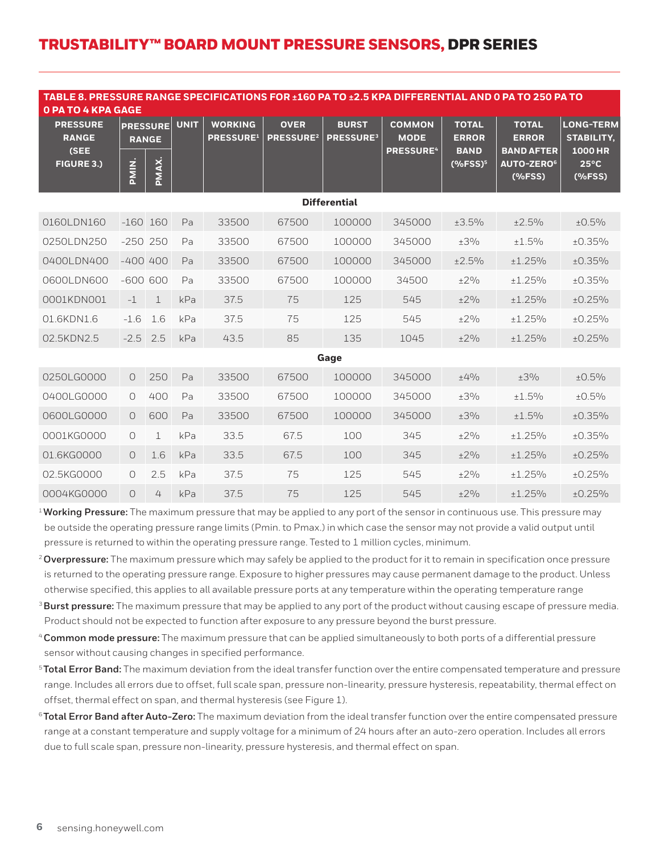| TABLE 8. PRESSURE RANGE SPECIFICATIONS FOR ±160 PA TO ±2.5 KPA DIFFERENTIAL AND 0 PA TO 250 PA TO<br><b>O PA TO 4 KPA GAGE</b> |              |                                          |             |                                                |                                            |                                  |                                                             |                                                                    |                                                                                                  |                                                                                          |
|--------------------------------------------------------------------------------------------------------------------------------|--------------|------------------------------------------|-------------|------------------------------------------------|--------------------------------------------|----------------------------------|-------------------------------------------------------------|--------------------------------------------------------------------|--------------------------------------------------------------------------------------------------|------------------------------------------------------------------------------------------|
| <b>PRESSURE</b><br><b>RANGE</b><br>(SEE<br><b>FIGURE 3.)</b>                                                                   | PMIN.        | <b>PRESSURE</b><br><b>RANGE</b><br>PMAX. | <b>UNIT</b> | <b>WORKING</b><br><b>PRESSURE</b> <sup>1</sup> | <b>OVER</b><br><b>PRESSURE<sup>2</sup></b> | <b>BURST</b><br><b>PRESSURE3</b> | <b>COMMON</b><br><b>MODE</b><br><b>PRESSURE<sup>4</sup></b> | <b>TOTAL</b><br><b>ERROR</b><br><b>BAND</b><br>(%FSS) <sup>5</sup> | <b>TOTAL</b><br><b>ERROR</b><br><b>BAND AFTER</b><br><b>AUTO-ZERO<sup>6</sup></b><br>$(%$ (%FSS) | <b>LONG-TERM</b><br><b>STABILITY.</b><br><b>1000 HR</b><br>$25^{\circ}$ C<br>$(%$ (%FSS) |
| <b>Differential</b>                                                                                                            |              |                                          |             |                                                |                                            |                                  |                                                             |                                                                    |                                                                                                  |                                                                                          |
| 0160LDN160                                                                                                                     | $-160$ 160   |                                          | Pa          | 33500                                          | 67500                                      | 100000                           | 345000                                                      | ±3.5%                                                              | ±2.5%                                                                                            | ±0.5%                                                                                    |
| 0250LDN250                                                                                                                     | $-250$ 250   |                                          | Pa          | 33500                                          | 67500                                      | 100000                           | 345000                                                      | $\pm 3\%$                                                          | ±1.5%                                                                                            | ±0.35%                                                                                   |
| 0400LDN400                                                                                                                     | $-400$ $400$ |                                          | Pa          | 33500                                          | 67500                                      | 100000                           | 345000                                                      | ±2.5%                                                              | ±1.25%                                                                                           | ±0.35%                                                                                   |
| 0600LDN600                                                                                                                     | $-600600$    |                                          | Pa          | 33500                                          | 67500                                      | 100000                           | 34500                                                       | $\pm 2\%$                                                          | $+1.25%$                                                                                         | ±0.35%                                                                                   |
| 0001KDN001                                                                                                                     | $-1$         | $\mathbf{1}$                             | kPa         | 37.5                                           | 75                                         | 125                              | 545                                                         | ±2%                                                                | ±1.25%                                                                                           | ±0.25%                                                                                   |
| 01.6KDN1.6                                                                                                                     | $-1.6$       | 1.6                                      | kPa         | 37.5                                           | 75                                         | 125                              | 545                                                         | ±2%                                                                | ±1.25%                                                                                           | ±0.25%                                                                                   |
| 02.5KDN2.5                                                                                                                     | $-2.5$       | 2.5                                      | kPa         | 43.5                                           | 85                                         | 135                              | 1045                                                        | ±2%                                                                | ±1.25%                                                                                           | ±0.25%                                                                                   |
|                                                                                                                                |              |                                          |             |                                                |                                            | Gage                             |                                                             |                                                                    |                                                                                                  |                                                                                          |
| 0250LG0000                                                                                                                     | $\circ$      | 250                                      | Pa          | 33500                                          | 67500                                      | 100000                           | 345000                                                      | ±4%                                                                | $\pm 3\%$                                                                                        | ±0.5%                                                                                    |
| 0400LG0000                                                                                                                     | $\circ$      | 400                                      | Pa          | 33500                                          | 67500                                      | 100000                           | 345000                                                      | ±3%                                                                | ±1.5%                                                                                            | ±0.5%                                                                                    |
| 0600LG0000                                                                                                                     | $\circ$      | 600                                      | Pa          | 33500                                          | 67500                                      | 100000                           | 345000                                                      | ±3%                                                                | ±1.5%                                                                                            | ±0.35%                                                                                   |
| 0001KG0000                                                                                                                     | $\circ$      | 1                                        | kPa         | 33.5                                           | 67.5                                       | 100                              | 345                                                         | ±2%                                                                | ±1.25%                                                                                           | ±0.35%                                                                                   |
| 01.6KG0000                                                                                                                     | $\Omega$     | 1.6                                      | kPa         | 33.5                                           | 67.5                                       | 100                              | 345                                                         | ±2%                                                                | ±1.25%                                                                                           | ±0.25%                                                                                   |
| 02.5KG0000                                                                                                                     | $\circ$      | 2.5                                      | kPa         | 37.5                                           | 75                                         | 125                              | 545                                                         | $\pm 2\%$                                                          | ±1.25%                                                                                           | ±0.25%                                                                                   |
| 0004KG0000                                                                                                                     | $\Omega$     | 4                                        | kPa         | 37.5                                           | 75                                         | 125                              | 545                                                         | ±2%                                                                | ±1.25%                                                                                           | ±0.25%                                                                                   |

<sup>1</sup>**Working Pressure:** The maximum pressure that may be applied to any port of the sensor in continuous use. This pressure may be outside the operating pressure range limits (Pmin. to Pmax.) in which case the sensor may not provide a valid output until pressure is returned to within the operating pressure range. Tested to 1 million cycles, minimum.

- <sup>2</sup>**Overpressure:** The maximum pressure which may safely be applied to the product for it to remain in specification once pressure is returned to the operating pressure range. Exposure to higher pressures may cause permanent damage to the product. Unless otherwise specified, this applies to all available pressure ports at any temperature within the operating temperature range
- <sup>3</sup>**Burst pressure:** The maximum pressure that may be applied to any port of the product without causing escape of pressure media. Product should not be expected to function after exposure to any pressure beyond the burst pressure.
- <sup>4</sup>**Common mode pressure:** The maximum pressure that can be applied simultaneously to both ports of a differential pressure sensor without causing changes in specified performance.
- <sup>5</sup>**Total Error Band:** The maximum deviation from the ideal transfer function over the entire compensated temperature and pressure range. Includes all errors due to offset, full scale span, pressure non-linearity, pressure hysteresis, repeatability, thermal effect on offset, thermal effect on span, and thermal hysteresis (see Figure 1).
- <sup>6</sup>**Total Error Band after Auto-Zero:** The maximum deviation from the ideal transfer function over the entire compensated pressure range at a constant temperature and supply voltage for a minimum of 24 hours after an auto-zero operation. Includes all errors due to full scale span, pressure non-linearity, pressure hysteresis, and thermal effect on span.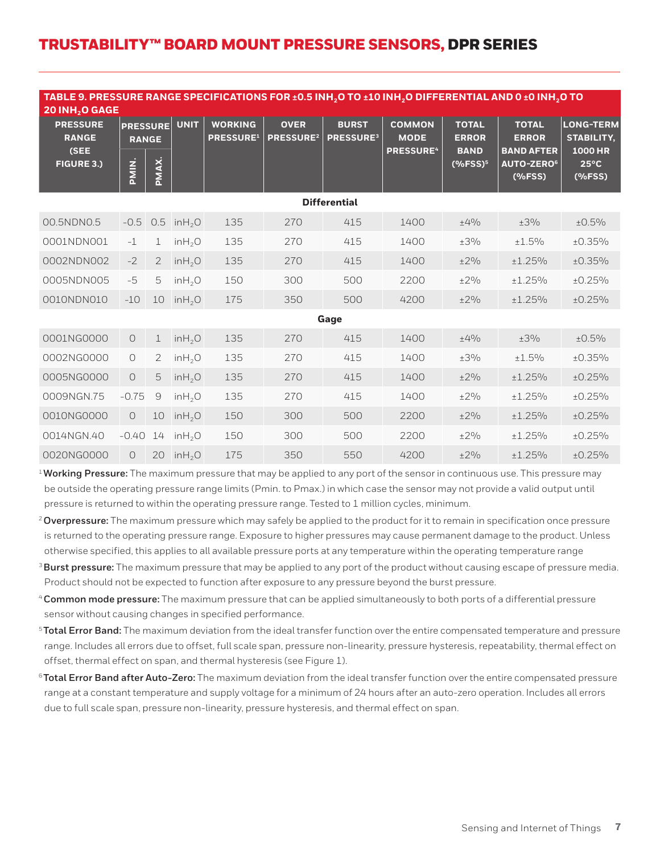| TABLE 9. PRESSURE RANGE SPECIFICATIONS FOR ±0.5 INH <sub>2</sub> O TO ±10 INH <sub>2</sub> O DIFFERENTIAL AND 0 ±0 INH <sub>2</sub> O TO<br>20 INH <sub>2</sub> O GAGE |                                          |                |                     |                                    |                                            |                                  |                                                             |                                                                    |                                                                                                |                                                                                     |
|------------------------------------------------------------------------------------------------------------------------------------------------------------------------|------------------------------------------|----------------|---------------------|------------------------------------|--------------------------------------------|----------------------------------|-------------------------------------------------------------|--------------------------------------------------------------------|------------------------------------------------------------------------------------------------|-------------------------------------------------------------------------------------|
| <b>PRESSURE</b><br><b>RANGE</b><br>(SEE<br><b>FIGURE 3.)</b>                                                                                                           | <b>PRESSURE</b><br><b>RANGE</b><br>PMIN. | PMAX.          | <b>UNIT</b>         | <b>WORKING</b><br><b>PRESSURE1</b> | <b>OVER</b><br><b>PRESSURE<sup>2</sup></b> | <b>BURST</b><br><b>PRESSURE3</b> | <b>COMMON</b><br><b>MODE</b><br><b>PRESSURE<sup>4</sup></b> | <b>TOTAL</b><br><b>ERROR</b><br><b>BAND</b><br>(%FSS) <sup>5</sup> | <b>TOTAL</b><br><b>ERROR</b><br><b>BAND AFTER</b><br><b>AUTO-ZERO<sup>6</sup></b><br>$(%$ $(*$ | <b>LONG-TERM</b><br><b>STABILITY,</b><br><b>1000 HR</b><br>$25^{\circ}$ C<br>(%FSS) |
| <b>Differential</b>                                                                                                                                                    |                                          |                |                     |                                    |                                            |                                  |                                                             |                                                                    |                                                                                                |                                                                                     |
| 00.5NDN0.5                                                                                                                                                             | $-0.5$                                   | 0.5            | in H <sub>2</sub> O | 135                                | 270                                        | 415                              | 1400                                                        | ±4%                                                                | ±3%                                                                                            | ±0.5%                                                                               |
| 0001NDN001                                                                                                                                                             | $-1$                                     | $\mathbf 1$    | in H <sub>2</sub> O | 135                                | 270                                        | 415                              | 1400                                                        | $\pm 3\%$                                                          | ±1.5%                                                                                          | ±0.35%                                                                              |
| 0002NDN002                                                                                                                                                             | $-2$                                     | $\mathfrak{D}$ | in H <sub>2</sub> O | 135                                | 270                                        | 415                              | 1400                                                        | ±2%                                                                | ±1.25%                                                                                         | ±0.35%                                                                              |
| 0005NDN005                                                                                                                                                             | $-5$                                     | 5              | in H <sub>2</sub> O | 150                                | 300                                        | 500                              | 2200                                                        | $\pm 2\%$                                                          | ±1.25%                                                                                         | ±0.25%                                                                              |
| 0010NDN010                                                                                                                                                             | $-10$                                    | 10             | in H <sub>2</sub> O | 175                                | 350                                        | 500                              | 4200                                                        | ±2%                                                                | ±1.25%                                                                                         | ±0.25%                                                                              |
|                                                                                                                                                                        |                                          |                |                     |                                    |                                            | Gage                             |                                                             |                                                                    |                                                                                                |                                                                                     |
| 0001NG0000                                                                                                                                                             | $\bigcirc$                               | $\mathbf 1$    | inH <sub>2</sub> O  | 135                                | 270                                        | 415                              | 1400                                                        | $\pm 4\%$                                                          | ±3%                                                                                            | ±0.5%                                                                               |
| 0002NG0000                                                                                                                                                             | $\bigcirc$                               | 2              | in H <sub>2</sub> O | 135                                | 270                                        | 415                              | 1400                                                        | ±3%                                                                | ±1.5%                                                                                          | ±0.35%                                                                              |
| 0005NG0000                                                                                                                                                             | $\bigcirc$                               | 5              | in H <sub>2</sub> O | 135                                | 270                                        | 415                              | 1400                                                        | $\pm 2\%$                                                          | ±1.25%                                                                                         | ±0.25%                                                                              |
| 0009NGN.75                                                                                                                                                             | $-0.75$                                  | $\Theta$       | in H <sub>2</sub> O | 135                                | 270                                        | 415                              | 1400                                                        | $\pm 2\%$                                                          | ±1.25%                                                                                         | ±0.25%                                                                              |
| 0010NG0000                                                                                                                                                             | $\overline{O}$                           | 10             | in H <sub>2</sub> O | 150                                | 300                                        | 500                              | 2200                                                        | ±2%                                                                | ±1.25%                                                                                         | ±0.25%                                                                              |
| 0014NGN.40                                                                                                                                                             | $-0.40$                                  | 14             | in H <sub>2</sub> O | 150                                | 300                                        | 500                              | 2200                                                        | ±2%                                                                | ±1.25%                                                                                         | ±0.25%                                                                              |
| 0020NG0000                                                                                                                                                             | 0                                        | 20             | inH <sub>2</sub> O  | 175                                | 350                                        | 550                              | 4200                                                        | ±2%                                                                | ±1.25%                                                                                         | ±0.25%                                                                              |

<sup>1</sup> Working Pressure: The maximum pressure that may be applied to any port of the sensor in continuous use. This pressure may be outside the operating pressure range limits (Pmin. to Pmax.) in which case the sensor may not provide a valid output until pressure is returned to within the operating pressure range. Tested to 1 million cycles, minimum.

- <sup>2</sup>**Overpressure:** The maximum pressure which may safely be applied to the product for it to remain in specification once pressure is returned to the operating pressure range. Exposure to higher pressures may cause permanent damage to the product. Unless otherwise specified, this applies to all available pressure ports at any temperature within the operating temperature range
- <sup>3</sup>**Burst pressure:** The maximum pressure that may be applied to any port of the product without causing escape of pressure media. Product should not be expected to function after exposure to any pressure beyond the burst pressure.
- <sup>4</sup>**Common mode pressure:** The maximum pressure that can be applied simultaneously to both ports of a differential pressure sensor without causing changes in specified performance.
- <sup>5</sup>**Total Error Band:** The maximum deviation from the ideal transfer function over the entire compensated temperature and pressure range. Includes all errors due to offset, full scale span, pressure non-linearity, pressure hysteresis, repeatability, thermal effect on offset, thermal effect on span, and thermal hysteresis (see Figure 1).
- <sup>6</sup>**Total Error Band after Auto-Zero:** The maximum deviation from the ideal transfer function over the entire compensated pressure range at a constant temperature and supply voltage for a minimum of 24 hours after an auto-zero operation. Includes all errors due to full scale span, pressure non-linearity, pressure hysteresis, and thermal effect on span.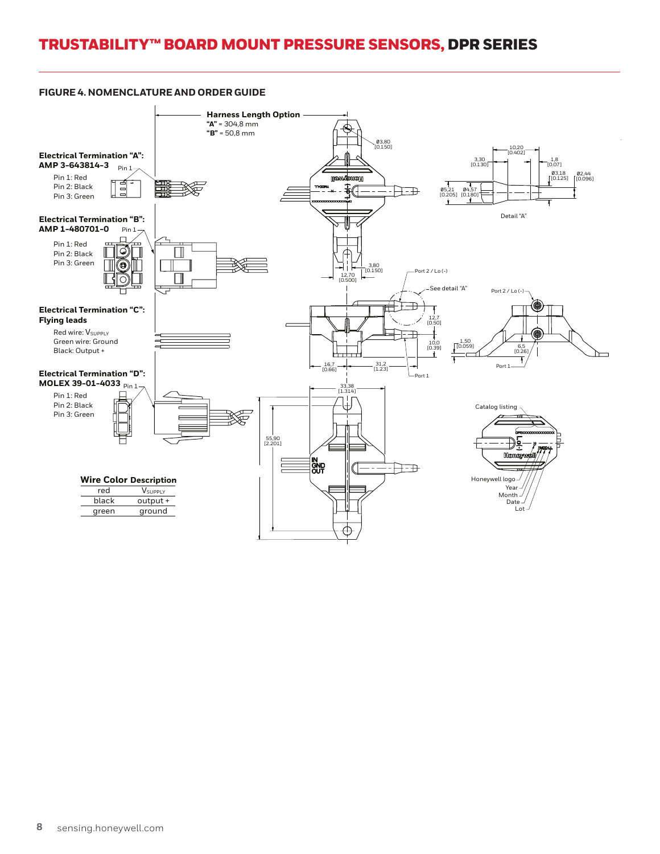#### **FIGURE 4. NOMENCLATURE AND ORDER GUIDE**